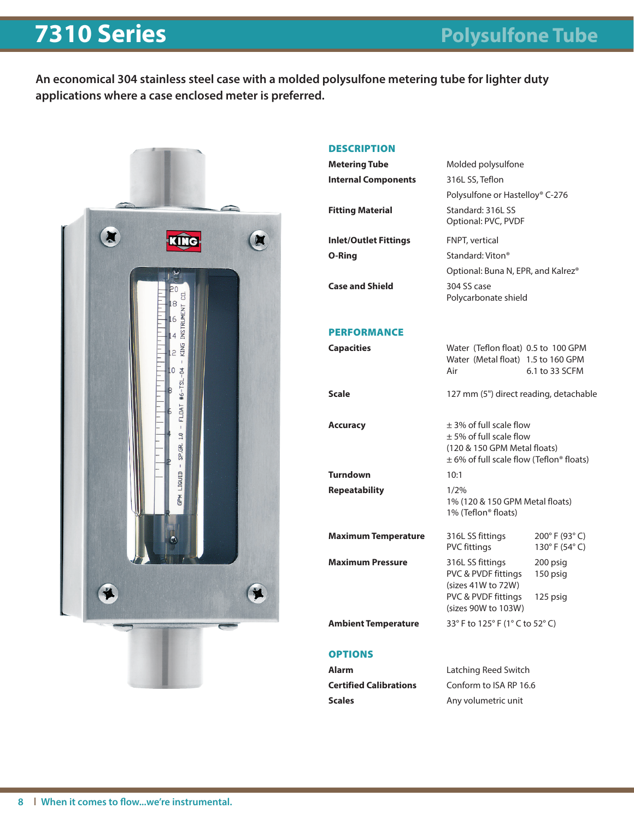## **7310 Series Polysulfone Tube**

**An economical 304 stainless steel case with a molded polysulfone metering tube for lighter duty applications where a case enclosed meter is preferred.**



## **DESCRIPTION**

| <b>Metering Tube</b>          | Molded polysulfone                                                                                                                    |                                |  |  |  |
|-------------------------------|---------------------------------------------------------------------------------------------------------------------------------------|--------------------------------|--|--|--|
| <b>Internal Components</b>    | 316L SS, Teflon                                                                                                                       |                                |  |  |  |
|                               | Polysulfone or Hastelloy® C-276                                                                                                       |                                |  |  |  |
| <b>Fitting Material</b>       | Standard: 316L SS                                                                                                                     |                                |  |  |  |
|                               | Optional: PVC, PVDF                                                                                                                   |                                |  |  |  |
| <b>Inlet/Outlet Fittings</b>  | FNPT, vertical                                                                                                                        |                                |  |  |  |
| O-Ring                        | Standard: Viton <sup>®</sup>                                                                                                          |                                |  |  |  |
|                               | Optional: Buna N, EPR, and Kalrez®                                                                                                    |                                |  |  |  |
| <b>Case and Shield</b>        | 304 SS case<br>Polycarbonate shield                                                                                                   |                                |  |  |  |
| <b>PERFORMANCE</b>            |                                                                                                                                       |                                |  |  |  |
| <b>Capacities</b>             | Water (Teflon float) 0.5 to 100 GPM                                                                                                   |                                |  |  |  |
|                               | Water (Metal float) 1.5 to 160 GPM                                                                                                    |                                |  |  |  |
|                               | Air                                                                                                                                   | 6.1 to 33 SCFM                 |  |  |  |
| <b>Scale</b>                  | 127 mm (5") direct reading, detachable                                                                                                |                                |  |  |  |
| <b>Accuracy</b>               | +3% of full scale flow<br>$\pm$ 5% of full scale flow<br>(120 & 150 GPM Metal floats)<br>$\pm$ 6% of full scale flow (Teflon® floats) |                                |  |  |  |
| <b>Turndown</b>               | 10:1                                                                                                                                  |                                |  |  |  |
| <b>Repeatability</b>          | 1/2%                                                                                                                                  |                                |  |  |  |
|                               | 1% (120 & 150 GPM Metal floats)<br>1% (Teflon® floats)                                                                                |                                |  |  |  |
| <b>Maximum Temperature</b>    | 316L SS fittings<br><b>PVC fittings</b>                                                                                               | 200° F (93° C)<br>130°F (54°C) |  |  |  |
| <b>Maximum Pressure</b>       | 316L SS fittings<br>PVC & PVDF fittings                                                                                               | 200 psig<br>150 psig           |  |  |  |
|                               | (sizes 41W to 72W)<br>PVC & PVDF fittings<br>(sizes 90W to 103W)                                                                      | 125 psig                       |  |  |  |
| <b>Ambient Temperature</b>    | 33° F to 125° F (1° C to 52° C)                                                                                                       |                                |  |  |  |
| <b>OPTIONS</b>                |                                                                                                                                       |                                |  |  |  |
| Alarm                         | Latching Reed Switch                                                                                                                  |                                |  |  |  |
| <b>Certified Calibrations</b> | Conform to ISA RP 16.6                                                                                                                |                                |  |  |  |
| <b>Scales</b>                 | Any volumetric unit                                                                                                                   |                                |  |  |  |